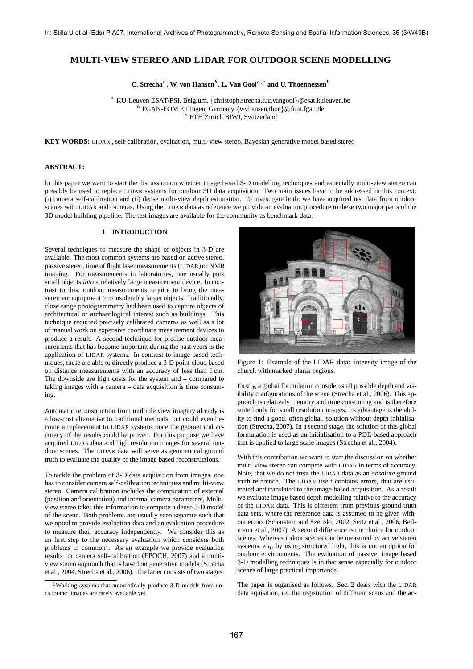# **MULTI-VIEW STEREO AND LIDAR FOR OUTDOOR SCENE MODELLING**

**C. Strecha**<sup>*a*</sup>**, W. von Hansen**<sup>*b*</sup>, **L. Van Gool**<sup> $a,c$ </sup> and **U. Thoennessen**<sup>*b*</sup>

**<sup>a</sup>** KU-Leuven ESAT/PSI, Belgium, {christoph.strecha,luc.vangool}@esat.kuleuven.be **b** FGAN-FOM Ettlingen, Germany {wvhansen,thoe}@fom.fgan.de **c** ETH Zürich BIWI, Switzerland

**KEY WORDS:** LIDAR , self-calibration, evaluation, multi-view stereo, Bayesian generative model based stereo

#### **ABSTRACT:**

In this paper we want to start the discussion on whether image based 3-D modelling techniques and especially multi-view stereo can<br>possibly be used to replace LIDAR systems for outdoor 3D data acquisition. Two main issues (i) camera self-calibration and (ii) dense multi-view depth estimation. To investigate both, we have acquired test data from outdoor scenes with LIDAR and cameras. Using the LIDAR data as reference we provide an evaluation procedure to these two major parts of the 3D model building pipeline. The test images are available for the community as benchmark data.

## **1 INTRODUCTION**

Several techniques to measure the shape of objects in 3-D are available. The most common systems are based on active stereo, passive stereo, time of flight laser measurements (LIDAR) or NMR imaging. For measurements in laboratories, one usually puts small objects *into* a relatively large measurement device. In contrast to this, outdoor measurements require to bring the measurement equipment *to* considerably larger objects. Traditionally, close range photogrammetry had been used to capture objects of architectural or archaeological interest such as buildings. This technique required precisely calibrated cameras as well as a lot of manual work on expensive coordinate measurement devices to produce a result. A second technique for precise outdoor measurements that has become important during the past years is the application of LIDAR systems. In contrast to image based techniques, these are able to directly produce a 3-D point cloud based on distance measurements with an accuracy of less than 1 cm. The downside are high costs for the system and – compared to taking images with a camera – data acquisition is time consuming.

Automatic reconstruction from multiple view imagery already is a low-cost alternative to traditional methods, but could even become a replacement to LIDAR systems once the geometrical accuracy of the results could be proven. For this purpose we have acquired LIDAR data and high resolution images for several outdoor scenes. The LIDAR data will serve as geometrical ground truth to evaluate the quality of the image based reconstructions.

To tackle the problem of 3-D data acquisition from images, one has to consider camera self-calibration techniques and multi-view stereo. Camera calibration includes the computation of external (position and orientation) and internal camera parameters. Multiview stereo takes this information to compute a dense 3-D model of the scene. Both problems are usually seen separate such that we opted to provide evaluation data and an evaluation procedure to measure their accuracy independently. We consider this as an first step to the necessary evaluation which considers both problems in common<sup>1</sup>. As an example we provide evaluation results for camera self-calibration (EPOCH, 2007) and a multiview stereo approach that is based on generative models (Strecha et al., 2004, Strecha et al., 2006). The latter consists of two stages.



Figure 1: Example of the LIDAR data: intensity image of the church with marked planar regions.

Firstly, a global formulation consideres all possible depth and visibility configurations of the scene (Strecha et al., 2006). This approach is relatively memory and time consuming and is therefore suited only for small resolution images. Its advantage is the ability to find a good, often global, solution without depth initialisation (Strecha, 2007). In a second stage, the solution of this global formulation is used as an initialisation to a PDE-based approach that is applied to large scale images (Strecha et al., 2004).

With this contribution we want to start the discussion on whether multi-view stereo can compete with LIDAR in terms of accuracy. Note, that we do not treat the LIDAR data as an *absolute* ground truth reference. The LIDAR itself contains errors, that are estimated and translated to the image based acquisition. As a result we evaluate image based depth modelling relative to the accuracy of the LIDAR data. This is different from previous ground truth data sets, where the reference data is assumed to be given without errors (Scharstein and Szeliski, 2002, Seitz et al., 2006, Bellmann et al., 2007). A second difference is the choice for outdoor scenes. Whereas indoor scenes can be measured by active stereo systems, *e.g*. by using structured light, this is not an option for outdoor environments. The evaluation of passive, image based 3-D modelling techniques is in that sense especially for outdoor scenes of large practical importance.

The paper is organised as follows. Sec. 2 deals with the LIDAR data aquisition, *i.e*. the registration of different scans and the ac-

<sup>&</sup>lt;sup>1</sup>Working systems that automatically produce 3-D models from uncalibrated images are rarely available yet.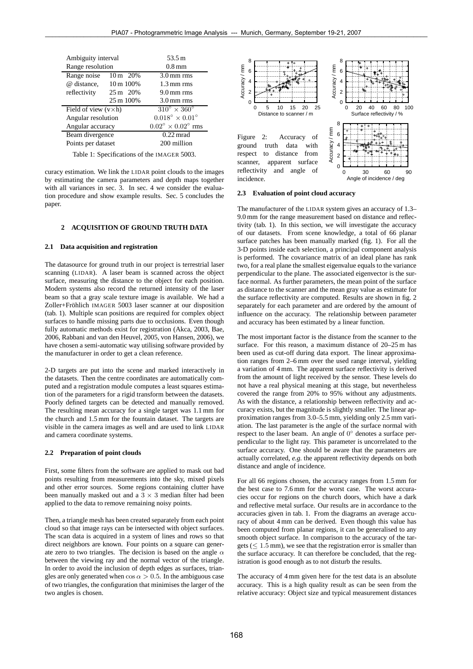| Ambiguity interval                 |           | 53.5 m                                 |
|------------------------------------|-----------|----------------------------------------|
| Range resolution                   |           | $0.8 \,\mathrm{mm}$                    |
| Range noise 10 m 20%               |           | $3.0 \,\mathrm{mm}$ rms                |
| @ distance, 10 m 100%              |           | $1.3 \,\mathrm{mm}$ rms                |
| reflectivity $25 \text{ m}$ $20\%$ |           | $9.0 \,\mathrm{mm}$ rms                |
|                                    | 25 m 100% | $3.0 \,\mathrm{mm}$ rms                |
| Field of view $(v \times h)$       |           | $310^{\circ} \times 360^{\circ}$       |
| Angular resolution                 |           | $0.018^{\circ} \times 0.01^{\circ}$    |
| Angular accuracy                   |           | $0.02^{\circ} \times 0.02^{\circ}$ rms |
| Beam divergence                    |           | $0.22$ mrad                            |
| Points per dataset                 |           | 200 million                            |
|                                    |           |                                        |

Table 1: Specifications of the IMAGER 5003.

curacy estimation. We link the LIDAR point clouds to the images by estimating the camera parameters and depth maps together with all variances in sec. 3. In sec. 4 we consider the evaluation procedure and show example results. Sec. 5 concludes the paper.

## **2 ACQUISITION OF GROUND TRUTH DATA**

#### **2.1 Data acquisition and registration**

The datasource for ground truth in our project is terrestrial laser scanning (LIDAR). A laser beam is scanned across the object surface, measuring the distance to the object for each position. Modern systems also record the returned intensity of the laser beam so that a gray scale texture image is available. We had a Zoller+Fröhlich IMAGER 5003 laser scanner at our disposition (tab. 1). Multiple scan positions are required for complex object surfaces to handle missing parts due to occlusions. Even though fully automatic methods exist for registration (Akca, 2003, Bae, 2006, Rabbani and van den Heuvel, 2005, von Hansen, 2006), we have chosen a semi-automatic way utilising software provided by the manufacturer in order to get a clean reference.

2-D targets are put into the scene and marked interactively in the datasets. Then the centre coordinates are automatically computed and a registration module computes a least squares estimation of the parameters for a rigid transform between the datasets. Poorly defined targets can be detected and manually removed. The resulting mean accuracy for a single target was 1.1 mm for the church and 1.5 mm for the fountain dataset. The targets are visible in the camera images as well and are used to link LIDAR and camera coordinate systems.

#### **2.2 Preparation of point clouds**

First, some filters from the software are applied to mask out bad points resulting from measurements into the sky, mixed pixels and other error sources. Some regions containing clutter have been manually masked out and a  $3 \times 3$  median filter had been applied to the data to remove remaining noisy points.

Then, a triangle mesh has been created separately from each point cloud so that image rays can be intersected with object surfaces. The scan data is acquired in a system of lines and rows so that direct neighbors are known. Four points on a square can generate zero to two triangles. The decision is based on the angle  $\alpha$ between the viewing ray and the normal vector of the triangle. In order to avoid the inclusion of depth edges as surfaces, triangles are only generated when  $\cos \alpha > 0.5$ . In the ambiguous case of two triangles, the configuration that minimises the larger of the two angles is chosen.



#### **2.3 Evaluation of point cloud accuracy**

The manufacturer of the LIDAR system gives an accuracy of 1.3– 9.0 mm for the range measurement based on distance and reflectivity (tab. 1). In this section, we will investigate the accuracy of our datasets. From scene knowledge, a total of 66 planar surface patches has been manually marked (fig. 1). For all the 3-D points inside each selection, a principal component analysis is performed. The covariance matrix of an ideal plane has rank two, for a real plane the smallest eigenvalue equals to the variance perpendicular to the plane. The associated eigenvector is the surface normal. As further parameters, the mean point of the surface as distance to the scanner and the mean gray value as estimate for the surface reflectivity are computed. Results are shown in fig. 2 separately for each parameter and are ordered by the amount of influence on the accuracy. The relationship between parameter and accuracy has been estimated by a linear function.

The most important factor is the distance from the scanner to the surface. For this reason, a maximum distance of 20–25 m has been used as cut-off during data export. The linear approximation ranges from 2–6 mm over the used range interval, yielding a variation of 4 mm. The apparent surface reflectivity is derived from the amount of light received by the sensor. These levels do not have a real physical meaning at this stage, but nevertheless covered the range from 20% to 95% without any adjustments. As with the distance, a relationship between reflectivity and accuracy exists, but the magnitude is slightly smaller. The linear approximation ranges from 3.0–5.5 mm, yielding only 2.5 mm variation. The last parameter is the angle of the surface normal with respect to the laser beam. An angle of 0◦ denotes a surface perpendicular to the light ray. This parameter is uncorrelated to the surface accuracy. One should be aware that the parameters are actually correlated, *e.g*. the apparent reflectivity depends on both distance and angle of incidence.

For all 66 regions chosen, the accuracy ranges from 1.5 mm for the best case to 7.6 mm for the worst case. The worst accuracies occur for regions on the church doors, which have a dark and reflective metal surface. Our results are in accordance to the accuracies given in tab. 1. From the diagrams an average accuracy of about 4 mm can be derived. Even though this value has been computed from planar regions, it can be generalised to any smooth object surface. In comparison to the accuracy of the targets ( $\leq 1.5$  mm), we see that the registration error is smaller than the surface accuracy. It can therefore be concluded, that the registration is good enough as to not disturb the results.

The accuracy of 4 mm given here for the test data is an absolute accuracy. This is a high quality result as can be seen from the relative accuracy: Object size and typical measurement distances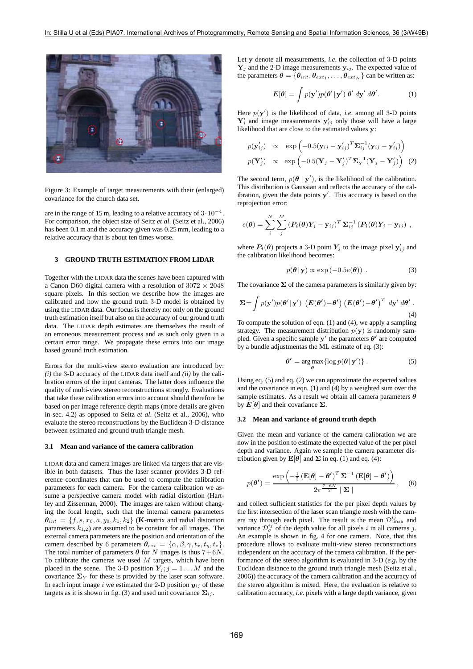

Figure 3: Example of target measurements with their (enlarged) covariance for the church data set.

are in the range of 15 m, leading to a relative accuracy of 3·10<sup>−</sup><sup>4</sup>. For comparison, the object size of Seitz *et al*. (Seitz et al., 2006) has been 0.1 m and the accuracy given was 0.25 mm, leading to a relative accuracy that is about ten times worse.

## **3 GROUND TRUTH ESTIMATION FROM LIDAR**

Together with the LIDAR data the scenes have been captured with a Canon D60 digital camera with a resolution of  $3072 \times 2048$ square pixels. In this section we describe how the images are calibrated and how the ground truth 3-D model is obtained by using the LIDAR data. Our focus is thereby not only on the ground truth estimation itself but also on the accuracy of our ground truth data. The LIDAR depth estimates are themselves the result of an erroneous measurement process and as such only given in a certain error range. We propagate these errors into our image based ground truth estimation.

Errors for the multi-view stereo evaluation are introduced by: *(i)* the <sup>3</sup>-D accuracy of the LIDAR data itself and *(ii)* by the calibration errors of the input cameras. The latter does influence the quality of multi-view stereo reconstructions strongly. Evaluations that take these calibration errors into account should therefore be based on per image reference depth maps (more details are given in sec. 4.2) as opposed to Seitz *et al*. (Seitz et al., 2006), who evaluate the stereo reconstructions by the Euclidean 3-D distance between estimated and ground truth triangle mesh.

## **3.1 Mean and variance of the camera calibration**

LIDAR data and camera images are linked via targets that are visible in both datasets. Thus the laser scanner provides 3-D reference coordinates that can be used to compute the calibration parameters for each camera. For the camera calibration we assume a perspective camera model with radial distortion (Hartley and Zisserman, 2000). The images are taken without changing the focal length, such that the internal camera parameters  $\theta_{int} = \{f, s, x_0, a, y_0, k_1, k_2\}$  (**K**-matrix and radial distortion parameters  $k_{1,2}$ ) are assumed to be constant for all images. The external camera parameters are the position and orientation of the camera described by 6 parameters  $\theta_{ext} = {\alpha, \beta, \gamma, t_x, t_y, t_z}.$ The total number of parameters  $\theta$  for N images is thus  $7+6N$ . To calibrate the cameras we used  $M$  targets, which have been placed in the scene. The 3-D position  $Y_i$ ;  $j = 1...M$  and the covariance  $\Sigma_Y$  for these is provided by the laser scan software. In each input image i we estimated the 2-D position  $y_{ij}$  of these targets as it is shown in fig. (3) and used unit covariance  $\Sigma_{ij}$ .

Let **<sup>y</sup>** denote all measurements, *i.e*. the collection of 3-D points  $Y_i$  and the 2-D image measurements  $y_{ij}$ . The expected value of the parameters  $\boldsymbol{\theta} = {\theta_{int}, \theta_{ext_1}, \ldots, \theta_{ext_N}}$  can be written as:

$$
\boldsymbol{E}[\boldsymbol{\theta}] = \int p(\mathbf{y}')p(\boldsymbol{\theta}'|\mathbf{y}') \boldsymbol{\theta}' d\mathbf{y}' d\boldsymbol{\theta}'. \qquad (1)
$$

Here  $p(\mathbf{y}')$  is the likelihood of data, *i.e.* among all 3-D points  $\mathbf{y}'_k$  and image measurements  $\mathbf{y}'_k$ , only those will have a large  $\mathbf{Y}'_i$  and image measurements  $\mathbf{y}'_{ij}$  only those will have a large likelihood that are close to the estimated values **y**:

$$
p(\mathbf{y}'_{ij}) \propto \exp\left(-0.5(\mathbf{y}_{ij} - \mathbf{y}'_{ij})^T \mathbf{\Sigma}_{ij}^{-1}(\mathbf{y}_{ij} - \mathbf{y}'_{ij})\right)
$$

$$
p(\mathbf{Y}'_j) \propto \exp\left(-0.5(\mathbf{Y}_j - \mathbf{Y}'_j)^T \mathbf{\Sigma}_{Y}^{-1}(\mathbf{Y}_j - \mathbf{Y}'_j)\right) (2)
$$

The second term,  $p(\theta | y')$ , is the likelihood of the calibration.<br>This distribution is Gaussian and reflects the accuracy of the cal-This distribution is Gaussian and reflects the accuracy of the calibration, given the data points **y** . This accuracy is based on the reprojection error:

$$
e(\boldsymbol{\theta}) = \sum_i^N \sum_j^M \left( \boldsymbol{P_i}(\boldsymbol{\theta}) \boldsymbol{Y_j} - \boldsymbol{y}_{ij} \right)^T \boldsymbol{\Sigma}_{ij}^{-1} \left( \boldsymbol{P_i}(\boldsymbol{\theta}) \boldsymbol{Y_j} - \boldsymbol{y}_{ij} \right) \,,
$$

where  $P_i(\theta)$  projects a 3-D point  $Y_j$  to the image pixel  $y'_{ij}$  and the calibration likelihood becomes: the calibration likelihood becomes:

$$
p(\boldsymbol{\theta} \,|\, \mathbf{y}) \propto \exp(-0.5e(\boldsymbol{\theta})) \ . \tag{3}
$$

The covariance  $\Sigma$  of the camera parameters is similarly given by:

$$
\Sigma = \int p(\mathbf{y}')p(\boldsymbol{\theta}'|\mathbf{y}') \ (E(\boldsymbol{\theta}') - \boldsymbol{\theta}') (E(\boldsymbol{\theta}') - \boldsymbol{\theta}')^T \ d\mathbf{y}' \ d\boldsymbol{\theta}'.
$$
\n(4)

To compute the solution of eqn. (1) and (4), we apply a sampling strategy. The measurement distribution  $p(y)$  is randomly sampled. Given a specific sample  $y'$  the parameters  $\theta'$  are computed by a bundle adjustmentas the ML estimate of eq. (3):

$$
\boldsymbol{\theta'} = \underset{\boldsymbol{\theta}}{\arg \max} \{ \log p(\boldsymbol{\theta} | \mathbf{y'}) \} . \tag{5}
$$

Using eq. (5) and eq. (2) we can approximate the expected values and the covariance in eqn. (1) and (4) by a weighted sum over the sample estimates. As a result we obtain all camera parameters **θ** by  $E[θ]$  and their covariance  $\Sigma$ .

#### **3.2 Mean and variance of ground truth depth**

Given the mean and variance of the camera calibration we are now in the position to estimate the expected value of the per pixel depth and variance. Again we sample the camera parameter distribution given by  $\mathbf{E}[\theta]$  and  $\Sigma$  in eq. (1) and eq. (4):

$$
p(\boldsymbol{\theta}') = \frac{\exp\left(-\frac{1}{2}\left(\mathbf{E}[\boldsymbol{\theta}] - \boldsymbol{\theta}'\right)^T \boldsymbol{\Sigma}^{-1} \left(\mathbf{E}[\boldsymbol{\theta}] - \boldsymbol{\theta}'\right)\right)}{2\pi^{\frac{7+6N}{2}} \mid \boldsymbol{\Sigma} \mid}, \quad (6)
$$

and collect sufficient statistics for the per pixel depth values by the first intersection of the laser scan triangle mesh with the camera ray through each pixel. The result is the mean  $\mathcal{D}_{\text{LDAR}}^{ij}$  and variance  $\mathcal{D}_{\sigma}^{ij}$  of the depth value for all pixels i in all cameras j. An example is shown in fig. 4 for one camera. Note, that this procedure allows to evaluate multi-view stereo reconstructions independent on the accuracy of the camera calibration. If the performance of the stereo algorithm is evaluated in 3-D (*e.g*. by the Euclidean distance to the ground truth triangle mesh (Seitz et al., 2006)) the accuracy of the camera calibration and the accuracy of the stereo algorithm is mixed. Here, the evaluation is relative to calibration accuracy, *i.e*. pixels with a large depth variance, given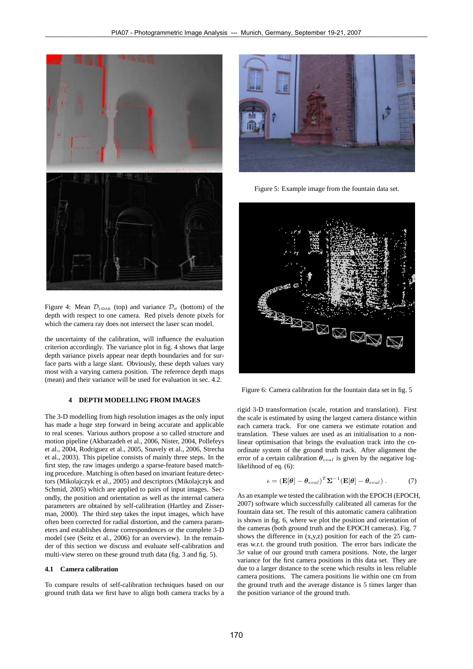

Figure 4: Mean  $\mathcal{D}_{\text{LIDAR}}$  (top) and variance  $\mathcal{D}_{\sigma}$  (bottom) of the depth with respect to one camera. Red pixels denote pixels for which the camera ray does not intersect the laser scan model.

the uncertainty of the calibration, will influence the evaluation criterion accordingly. The variance plot in fig. 4 shows that large depth variance pixels appear near depth boundaries and for surface parts with a large slant. Obviously, these depth values vary most with a varying camera position. The reference depth maps (mean) and their variance will be used for evaluation in sec. 4.2.

# **4 DEPTH MODELLING FROM IMAGES**

The 3-D modelling from high resolution images as the only input has made a huge step forward in being accurate and applicable to real scenes. Various authors propose a so called structure and motion pipeline (Akbarzadeh et al., 2006, Nister, 2004, Pollefeys et al., 2004, Rodriguez et al., 2005, Snavely et al., 2006, Strecha et al., 2003). This pipeline consists of mainly three steps. In the first step, the raw images undergo a sparse-feature based matching procedure. Matching is often based on invariant feature detectors (Mikolajczyk et al., 2005) and descriptors (Mikolajczyk and Schmid, 2005) which are applied to pairs of input images. Secondly, the position and orientation as well as the internal camera parameters are obtained by self-calibration (Hartley and Zisserman, 2000). The third step takes the input images, which have often been corrected for radial distortion, and the camera parameters and establishes dense correspondences or the complete 3-D model (see (Seitz et al., 2006) for an overview). In the remainder of this section we discuss and evaluate self-calibration and multi-view stereo on these ground truth data (fig. 3 and fig. 5).

## **4.1 Camera calibration**

To compare results of self-calibration techniques based on our ground truth data we first have to align both camera tracks by a



Figure 5: Example image from the fountain data set.



Figure 6: Camera calibration for the fountain data set in fig. 5

rigid 3-D transformation (scale, rotation and translation). First the scale is estimated by using the largest camera distance within each camera track. For one camera we estimate rotation and translation. These values are used as an initialisation to a nonlinear optimisation that brings the evaluation track into the coordinate system of the ground truth track. After alignment the error of a certain calibration  $\theta_{eval}$  is given by the negative loglikelihood of eq. (6):

$$
\epsilon = (\mathbf{E}[\theta] - \theta_{eval})^T \Sigma^{-1} (\mathbf{E}[\theta] - \theta_{eval}). \tag{7}
$$

As an example we tested the calibration with the EPOCH (EPOCH, 2007) software which successfully calibrated all cameras for the fountain data set. The result of this automatic camera calibration is shown in fig. 6, where we plot the position and orientation of the cameras (both ground truth and the EPOCH cameras). Fig. 7 shows the difference in  $(x,y,z)$  position for each of the 25 cameras w.r.t. the ground truth position. The error bars indicate the  $3\sigma$  value of our ground truth camera positions. Note, the larger variance for the first camera positions in this data set. They are due to a larger distance to the scene which results in less reliable camera positions. The camera positions lie within one cm from the ground truth and the average distance is 5 times larger than the position variance of the ground truth.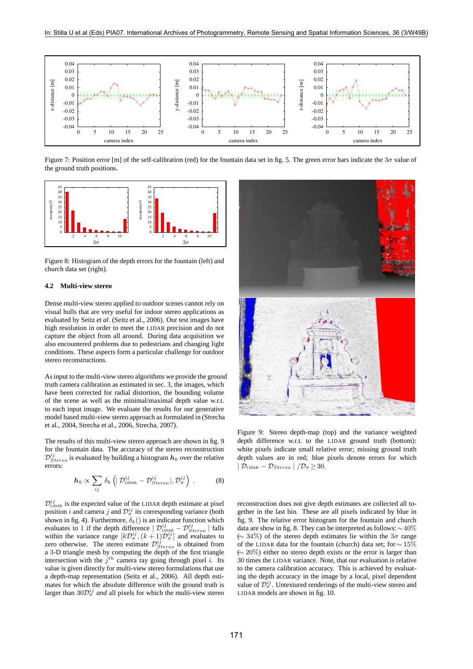

Figure 7: Position error [m] of the self-calibration (red) for the fountain data set in fig. 5. The green error bars indicate the  $3\sigma$  value of the ground truth positions.



Figure 8: Histogram of the depth errors for the fountain (left) and church data set (right).

# **4.2 Multi-view stereo**

Dense multi-view stereo applied to outdoor scenes cannot rely on visual hulls that are very useful for indoor stereo applications as evaluated by Seitz *et al*. (Seitz et al., 2006). Our test images have high resolution in order to meet the LIDAR precision and do not capture the object from all around. During data acquisition we also encountered problems due to pedestrians and changing light conditions. These aspects form a particular challenge for outdoor stereo reconstructions.

As input to the multi-view stereo algorithms we provide the ground truth camera calibration as estimated in sec. 3, the images, which have been corrected for radial distortion, the bounding volume of the scene as well as the minimal/maximal depth value w.r.t. to each input image. We evaluate the results for our generative model based multi-view stereo approach as formulated in (Strecha et al., 2004, Strecha et al., 2006, Strecha, 2007).

The results of this multi-view stereo approach are shown in fig. 9 for the fountain data. The accuracy of the stereo reconstruction  $\mathcal{D}_{Stereo}^{ij}$  is evaluated by building a histogram  $h_k$  over the relative errors:

$$
\boldsymbol{h}_{k} \propto \sum_{ij} \delta_{k} \left( \left| \mathcal{D}_{\text{LIDAR}}^{ij} - \mathcal{D}_{\text{Stereo}}^{ij} \right|, \mathcal{D}_{\sigma}^{ij} \right) . \tag{8}
$$

 $\mathcal{D}_{\text{LIDAR}}^{ij}$  is the expected value of the LIDAR depth estimate at pixel position *i* and camera *j* and  $\mathcal{D}_{\sigma}^{ij}$  its corresponding variance (both shown in fig. 4). Furthermore,  $\delta_k()$  is an indicator function which evaluates to 1 if the depth difference  $|\mathcal{D}_{\text{LIDAR}}^{ij} - \mathcal{D}_{\text{Stereo}}^{ij}|$  falls within the variance range  $[k\mathcal{D}_{\sigma}^{ij}, (k+1)\mathcal{D}_{\sigma}^{ij}]$  and evaluates to zero otherwise. The stereo estimate  $\mathcal{D}_{\sigma}^{ij}$  is obtained from zero otherwise. The stereo estimate  $\mathcal{D}_{Stereo}^{ij}$  is obtained from a 3-D triangle mesh by computing the depth of the first triangle intersection with the  $j^{th}$  camera ray going through pixel *i*. Its value is given directly for multi-view stereo formulations that use a depth-map representation (Seitz et al., 2006). All depth estimates for which the absolute difference with the ground truth is larger than  $30D_{\sigma}^{ij}$  *and* all pixels for which the multi-view stereo



Figure 9: Stereo depth-map (top) and the variance weighted depth difference w.r.t. to the LIDAR ground truth (bottom): white pixels indicate small relative error; missing ground truth depth values are in red; blue pixels denote errors for which  $|\mathcal{D}_{\text{LIDAR}} - \mathcal{D}_{Stereo}| / \mathcal{D}_{\sigma} > 30.$ 

reconstruction does not give depth estimates are collected all together in the last bin. These are all pixels indicated by blue in fig. 9. The relative error histogram for the fountain and church data are show in fig. 8. They can be interpreted as follows:∼40% (<sup>∼</sup> 34%) of the stereo depth estimates lie within the 3<sup>σ</sup> range of the LIDAR data for the fountain (church) data set; for<sup>∼</sup> 15% (<sup>∼</sup> 20%) either no stereo depth exists or the error is larger than <sup>30</sup> times the LIDAR variance. Note, that our evaluation is relative to the camera calibration accuracy. This is achieved by evaluating the depth accuracy in the image by a local, pixel dependent value of  $\mathcal{D}_{\sigma}^{ij}$ . Untextured renderings of the multi-view stereo and LIDAR models are shown in fig. 10.